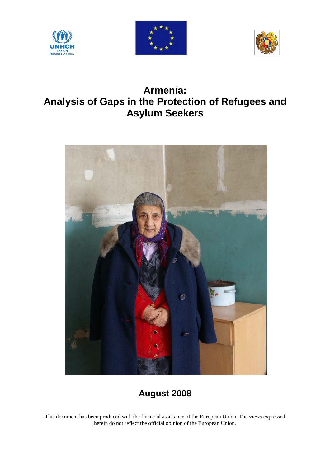





# **Armenia: Analysis of Gaps in the Protection of Refugees and Asylum Seekers**



# **August 2008**

This document has been produced with the financial assistance of the European Union. The views expressed herein do not reflect the official opinion of the European Union.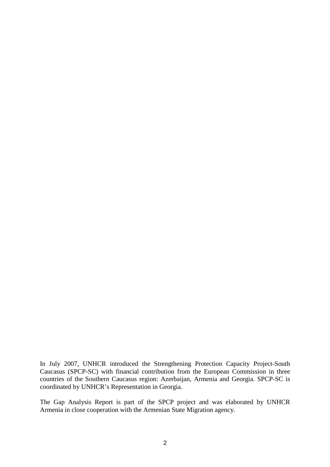In July 2007, UNHCR introduced the Strengthening Protection Capacity Project-South Caucasus (SPCP-SC) with financial contribution from the European Commission in three countries of the Southern Caucasus region: Azerbaijan, Armenia and Georgia. SPCP-SC is coordinated by UNHCR's Representation in Georgia.

The Gap Analysis Report is part of the SPCP project and was elaborated by UNHCR Armenia in close cooperation with the Armenian State Migration agency.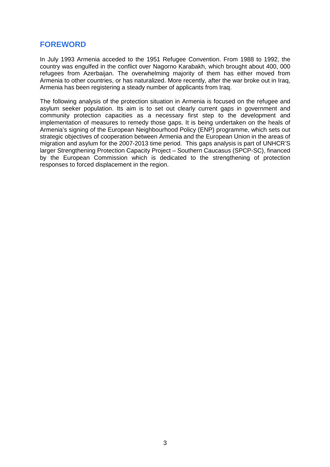# **FOREWORD**

In July 1993 Armenia acceded to the 1951 Refugee Convention. From 1988 to 1992, the country was engulfed in the conflict over Nagorno Karabakh, which brought about 400, 000 refugees from Azerbaijan. The overwhelming majority of them has either moved from Armenia to other countries, or has naturalized. More recently, after the war broke out in Iraq, Armenia has been registering a steady number of applicants from Iraq.

The following analysis of the protection situation in Armenia is focused on the refugee and asylum seeker population. Its aim is to set out clearly current gaps in government and community protection capacities as a necessary first step to the development and implementation of measures to remedy those gaps. It is being undertaken on the heals of Armenia's signing of the European Neighbourhood Policy (ENP) programme, which sets out strategic objectives of cooperation between Armenia and the European Union in the areas of migration and asylum for the 2007-2013 time period. This gaps analysis is part of UNHCR'S larger Strengthening Protection Capacity Project – Southern Caucasus (SPCP-SC), financed by the European Commission which is dedicated to the strengthening of protection responses to forced displacement in the region.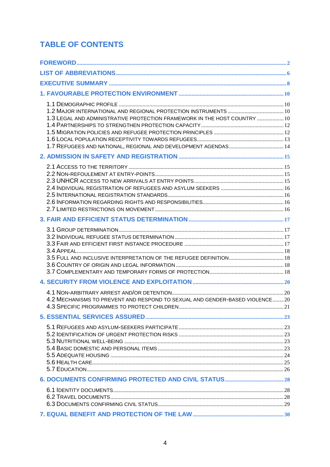# **TABLE OF CONTENTS**

| 1.3 LEGAL AND ADMINISTRATIVE PROTECTION FRAMEWORK IN THE HOST COUNTRY  10   |  |
|-----------------------------------------------------------------------------|--|
|                                                                             |  |
|                                                                             |  |
|                                                                             |  |
|                                                                             |  |
|                                                                             |  |
| 4.2 MECHANISMS TO PREVENT AND RESPOND TO SEXUAL AND GENDER-BASED VIOLENCE20 |  |
|                                                                             |  |
|                                                                             |  |
|                                                                             |  |
|                                                                             |  |
|                                                                             |  |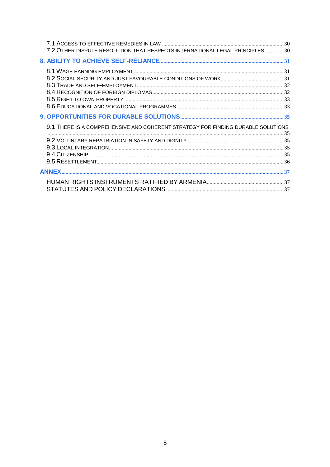| 7.2 OTHER DISPUTE RESOLUTION THAT RESPECTS INTERNATIONAL LEGAL PRINCIPLES 30     |  |
|----------------------------------------------------------------------------------|--|
|                                                                                  |  |
|                                                                                  |  |
|                                                                                  |  |
| 9.1 THERE IS A COMPREHENSIVE AND COHERENT STRATEGY FOR FINDING DURABLE SOLUTIONS |  |
|                                                                                  |  |
|                                                                                  |  |
|                                                                                  |  |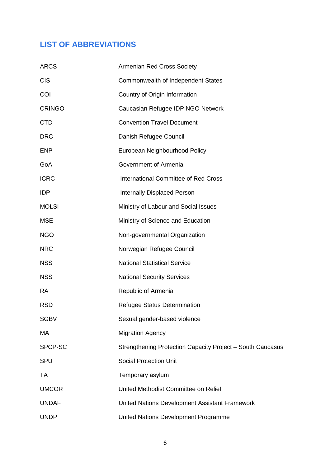# **LIST OF ABBREVIATIONS**

| <b>ARCS</b>   | Armenian Red Cross Society                                 |
|---------------|------------------------------------------------------------|
| <b>CIS</b>    | Commonwealth of Independent States                         |
| COI           | Country of Origin Information                              |
| <b>CRINGO</b> | Caucasian Refugee IDP NGO Network                          |
| <b>CTD</b>    | <b>Convention Travel Document</b>                          |
| <b>DRC</b>    | Danish Refugee Council                                     |
| <b>ENP</b>    | European Neighbourhood Policy                              |
| GoA           | Government of Armenia                                      |
| <b>ICRC</b>   | <b>International Committee of Red Cross</b>                |
| <b>IDP</b>    | <b>Internally Displaced Person</b>                         |
| <b>MOLSI</b>  | Ministry of Labour and Social Issues                       |
| <b>MSE</b>    | Ministry of Science and Education                          |
| <b>NGO</b>    | Non-governmental Organization                              |
| <b>NRC</b>    | Norwegian Refugee Council                                  |
| <b>NSS</b>    | <b>National Statistical Service</b>                        |
| <b>NSS</b>    | <b>National Security Services</b>                          |
| <b>RA</b>     | Republic of Armenia                                        |
| <b>RSD</b>    | Refugee Status Determination                               |
| <b>SGBV</b>   | Sexual gender-based violence                               |
| MA            | <b>Migration Agency</b>                                    |
| SPCP-SC       | Strengthening Protection Capacity Project - South Caucasus |
| <b>SPU</b>    | <b>Social Protection Unit</b>                              |
| <b>TA</b>     | Temporary asylum                                           |
| <b>UMCOR</b>  | United Methodist Committee on Relief                       |
| <b>UNDAF</b>  | United Nations Development Assistant Framework             |
| <b>UNDP</b>   | United Nations Development Programme                       |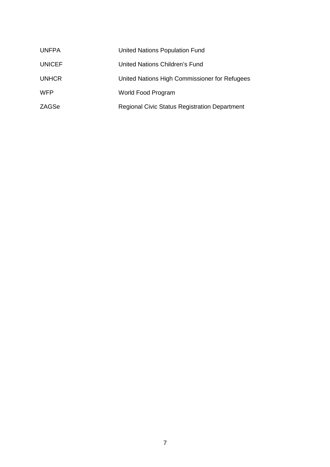| <b>UNFPA</b>  | United Nations Population Fund                       |
|---------------|------------------------------------------------------|
| <b>UNICEF</b> | United Nations Children's Fund                       |
| <b>UNHCR</b>  | United Nations High Commissioner for Refugees        |
| <b>WFP</b>    | World Food Program                                   |
| ZAGSe         | <b>Regional Civic Status Registration Department</b> |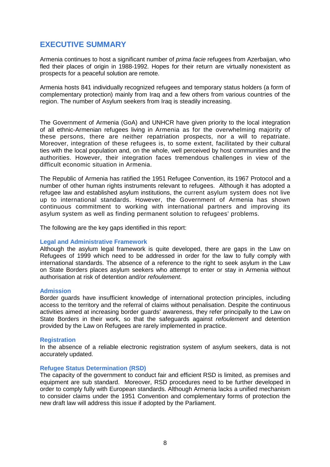# **EXECUTIVE SUMMARY**

Armenia continues to host a significant number of *prima facie* refugees from Azerbaijan, who fled their places of origin in 1988-1992. Hopes for their return are virtually nonexistent as prospects for a peaceful solution are remote.

Armenia hosts 841 individually recognized refugees and temporary status holders (a form of complementary protection) mainly from Iraq and a few others from various countries of the region. The number of Asylum seekers from Iraq is steadily increasing.

The Government of Armenia (GoA) and UNHCR have given priority to the local integration of all ethnic-Armenian refugees living in Armenia as for the overwhelming majority of these persons, there are neither repatriation prospects, nor a will to repatriate. Moreover, integration of these refugees is, to some extent, facilitated by their cultural ties with the local population and, on the whole, well perceived by host communities and the authorities. However, their integration faces tremendous challenges in view of the difficult economic situation in Armenia.

The Republic of Armenia has ratified the 1951 Refugee Convention, its 1967 Protocol and a number of other human rights instruments relevant to refugees. Although it has adopted a refugee law and established asylum institutions, the current asylum system does not live up to international standards. However, the Government of Armenia has shown continuous commitment to working with international partners and improving its asylum system as well as finding permanent solution to refugees' problems.

The following are the key gaps identified in this report:

#### **Legal and Administrative Framework**

Although the asylum legal framework is quite developed, there are gaps in the Law on Refugees of 1999 which need to be addressed in order for the law to fully comply with international standards. The absence of a reference to the right to seek asylum in the Law on State Borders places asylum seekers who attempt to enter or stay in Armenia without authorisation at risk of detention and/or *refoulement*.

#### **Admission**

Border guards have insufficient knowledge of international protection principles, including access to the territory and the referral of claims without penalisation. Despite the continuous activities aimed at increasing border guards' awareness, they refer principally to the Law on State Borders in their work, so that the safeguards against *refoulement* and detention provided by the Law on Refugees are rarely implemented in practice.

#### **Registration**

In the absence of a reliable electronic registration system of asylum seekers, data is not accurately updated.

#### **Refugee Status Determination (RSD)**

The capacity of the government to conduct fair and efficient RSD is limited, as premises and equipment are sub standard. Moreover, RSD procedures need to be further developed in order to comply fully with European standards. Although Armenia lacks a unified mechanism to consider claims under the 1951 Convention and complementary forms of protection the new draft law will address this issue if adopted by the Parliament.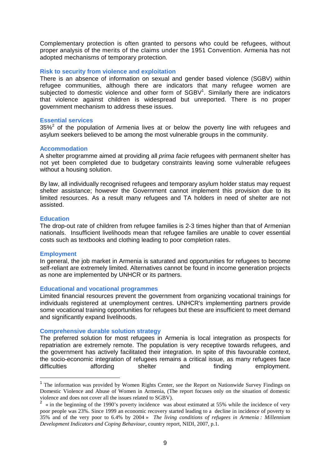Complementary protection is often granted to persons who could be refugees, without proper analysis of the merits of the claims under the 1951 Convention. Armenia has not adopted mechanisms of temporary protection.

#### **Risk to security from violence and exploitation**

There is an absence of information on sexual and gender based violence (SGBV) within refugee communities, although there are indicators that many refugee women are subjected to domestic violence and other form of  $SGBV<sup>1</sup>$ . Similarly there are indicators that violence against children is widespread but unreported. There is no proper government mechanism to address these issues.

#### **Essential services**

35% $2$  of the population of Armenia lives at or below the poverty line with refugees and asylum seekers believed to be among the most vulnerable groups in the community.

#### **Accommodation**

A shelter programme aimed at providing all *prima facie* refugees with permanent shelter has not yet been completed due to budgetary constraints leaving some vulnerable refugees without a housing solution.

By law, all individually recognised refugees and temporary asylum holder status may request shelter assistance; however the Government cannot implement this provision due to its limited resources. As a result many refugees and TA holders in need of shelter are not assisted.

#### **Education**

The drop-out rate of children from refugee families is 2-3 times higher than that of Armenian nationals. Insufficient livelihoods mean that refugee families are unable to cover essential costs such as textbooks and clothing leading to poor completion rates.

#### **Employment**

 $\overline{a}$ 

In general, the job market in Armenia is saturated and opportunities for refugees to become self-reliant are extremely limited. Alternatives cannot be found in income generation projects as none are implemented by UNHCR or its partners.

#### **Educational and vocational programmes**

Limited financial resources prevent the government from organizing vocational trainings for individuals registered at unemployment centres. UNHCR's implementing partners provide some vocational training opportunities for refugees but these are insufficient to meet demand and significantly expand livelihoods.

#### **Comprehensive durable solution strategy**

The preferred solution for most refugees in Armenia is local integration as prospects for repatriation are extremely remote. The population is very receptive towards refugees, and the government has actively facilitated their integration. In spite of this favourable context, the socio-economic integration of refugees remains a critical issue, as many refugees face difficulties affording shelter and finding employment.

<sup>&</sup>lt;sup>1</sup> The information was provided by Women Rights Center, see the Report on Nationwide Survey Findings on Domestic Violence and Abuse of Women in Armenia, (The report focuses only on the situation of domestic violence and does not cover all the issues related to SGBV).

 $2 \times$  in the beginning of the 1990's poverty incidence was about estimated at 55% while the incidence of very poor people was 23%. Since 1999 an economic recovery started leading to a decline in incidence of poverty to 35% and of the very poor to 6.4% by 2004 » *The living conditions of refugees in Armenia : Millennium Development Indicators and Coping Behaviour*, country report, NIDI, 2007, p.1.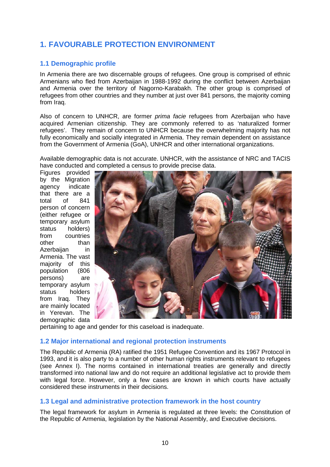# **1. FAVOURABLE PROTECTION ENVIRONMENT**

# **1.1 Demographic profile**

In Armenia there are two discernable groups of refugees. One group is comprised of ethnic Armenians who fled from Azerbaijan in 1988-1992 during the conflict between Azerbaijan and Armenia over the territory of Nagorno-Karabakh. The other group is comprised of refugees from other countries and they number at just over 841 persons, the majority coming from Iraq.

Also of concern to UNHCR, are former *prima facie* refugees from Azerbaijan who have acquired Armenian citizenship. They are commonly referred to as 'naturalized former refugees'. They remain of concern to UNHCR because the overwhelming majority has not fully economically and socially integrated in Armenia. They remain dependent on assistance from the Government of Armenia (GoA), UNHCR and other international organizations.

Available demographic data is not accurate. UNHCR, with the assistance of NRC and TACIS have conducted and completed a census to provide precise data.

Figures provided by the Migration agency indicate that there are a total of 841 person of concern (either refugee or temporary asylum status holders) from countries other than Azerbaijan in Armenia. The vast majority of this population (806 persons) are temporary asylum status holders from Iraq. They are mainly located in Yerevan. The demographic data



pertaining to age and gender for this caseload is inadequate.

#### **1.2 Major international and regional protection instruments**

The Republic of Armenia (RA) ratified the 1951 Refugee Convention and its 1967 Protocol in 1993, and it is also party to a number of other human rights instruments relevant to refugees (see Annex I). The norms contained in international treaties are generally and directly transformed into national law and do not require an additional legislative act to provide them with legal force. However, only a few cases are known in which courts have actually considered these instruments in their decisions.

# **1.3 Legal and administrative protection framework in the host country**

The legal framework for asylum in Armenia is regulated at three levels: the Constitution of the Republic of Armenia, legislation by the National Assembly, and Executive decisions.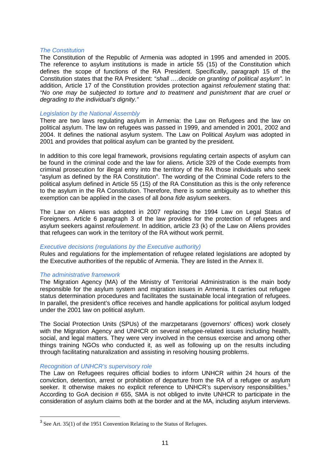#### *The Constitution*

The Constitution of the Republic of Armenia was adopted in 1995 and amended in 2005. The reference to asylum institutions is made in article 55 (15) of the Constitution which defines the scope of functions of the RA President. Specifically, paragraph 15 of the Constitution states that the RA President: "*shall ….decide on granting of political asylum".* In addition, Article 17 of the Constitution provides protection against *refoulement* stating that: *"No one may be subjected to torture and to treatment and punishment that are cruel or degrading to the individual's dignity."* 

#### *Legislation by the National Assembly*

There are two laws regulating asylum in Armenia: the Law on Refugees and the law on political asylum. The law on refugees was passed in 1999, and amended in 2001, 2002 and 2004. It defines the national asylum system. The Law on Political Asylum was adopted in 2001 and provides that political asylum can be granted by the president.

In addition to this core legal framework, provisions regulating certain aspects of asylum can be found in the criminal code and the law for aliens. Article 329 of the Code exempts from criminal prosecution for illegal entry into the territory of the RA those individuals who seek "asylum as defined by the RA Constitution". The wording of the Criminal Code refers to the political asylum defined in Article 55 (15) of the RA Constitution as this is the only reference to the asylum in the RA Constitution. Therefore, there is some ambiguity as to whether this exemption can be applied in the cases of all *bona fide* asylum seekers.

The Law on Aliens was adopted in 2007 replacing the 1994 Law on Legal Status of Foreigners. Article 6 paragraph 3 of the law provides for the protection of refugees and asylum seekers against *refoulement*. In addition, article 23 (k) of the Law on Aliens provides that refugees can work in the territory of the RA without work permit.

#### *Executive decisions (regulations by the Executive authority)*

Rules and regulations for the implementation of refugee related legislations are adopted by the Executive authorities of the republic of Armenia. They are listed in the Annex II.

#### *The administrative framework*

The Migration Agency (MA) of the Ministry of Territorial Administration is the main body responsible for the asylum system and migration issues in Armenia. It carries out refugee status determination procedures and facilitates the sustainable local integration of refugees. In parallel, the president's office receives and handle applications for political asylum lodged under the 2001 law on political asylum.

The Social Protection Units (SPUs) of the marzpetarans (governors' offices) work closely with the Migration Agency and UNHCR on several refugee-related issues including health. social, and legal matters. They were very involved in the census exercise and among other things training NGOs who conducted it, as well as following up on the results including through facilitating naturalization and assisting in resolving housing problems.

#### *Recognition of UNHCR's supervisory role*

The Law on Refugees requires official bodies to inform UNHCR within 24 hours of the conviction, detention, arrest or prohibition of departure from the RA of a refugee or asylum seeker. It otherwise makes no explicit reference to UNHCR's supervisory responsibilities. $3$ According to GoA decision # 655, SMA is not obliged to invite UNHCR to participate in the consideration of asylum claims both at the border and at the MA, including asylum interviews.

<sup>&</sup>lt;sup>3</sup> See Art. 35(1) of the 1951 Convention Relating to the Status of Refugees.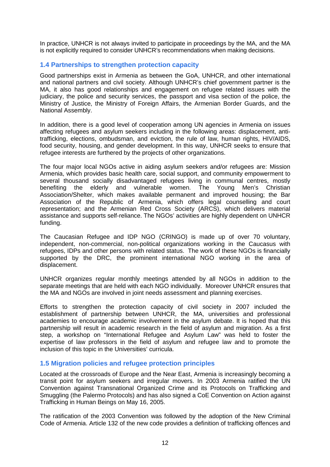In practice, UNHCR is not always invited to participate in proceedings by the MA, and the MA is not explicitly required to consider UNHCR's recommendations when making decisions.

### **1.4 Partnerships to strengthen protection capacity**

Good partnerships exist in Armenia as between the GoA, UNHCR, and other international and national partners and civil society. Although UNHCR's chief government partner is the MA, it also has good relationships and engagement on refugee related issues with the judiciary, the police and security services, the passport and visa section of the police, the Ministry of Justice, the Ministry of Foreign Affairs, the Armenian Border Guards, and the National Assembly.

In addition, there is a good level of cooperation among UN agencies in Armenia on issues affecting refugees and asylum seekers including in the following areas: displacement, antitrafficking, elections, ombudsman, and eviction, the rule of law, human rights, HIV/AIDS, food security, housing, and gender development. In this way, UNHCR seeks to ensure that refugee interests are furthered by the projects of other organizations.

The four major local NGOs active in aiding asylum seekers and/or refugees are: Mission Armenia, which provides basic health care, social support, and community empowerment to several thousand socially disadvantaged refugees living in communal centres, mostly benefiting the elderly and vulnerable women. The Young Men's Christian Association/Shelter, which makes available permanent and improved housing; the Bar Association of the Republic of Armenia, which offers legal counselling and court representation; and the Armenian Red Cross Society (ARCS), which delivers material assistance and supports self-reliance. The NGOs' activities are highly dependent on UNHCR funding.

The Caucasian Refugee and IDP NGO (CRINGO) is made up of over 70 voluntary, independent, non-commercial, non-political organizations working in the Caucasus with refugees, IDPs and other persons with related status. The work of these NGOs is financially supported by the DRC, the prominent international NGO working in the area of displacement.

UNHCR organizes regular monthly meetings attended by all NGOs in addition to the separate meetings that are held with each NGO individually. Moreover UNHCR ensures that the MA and NGOs are involved in joint needs assessment and planning exercises.

Efforts to strengthen the protection capacity of civil society in 2007 included the establishment of partnership between UNHCR, the MA, universities and professional academies to encourage academic involvement in the asylum debate. It is hoped that this partnership will result in academic research in the field of asylum and migration. As a first step, a workshop on "International Refugee and Asylum Law" was held to foster the expertise of law professors in the field of asylum and refugee law and to promote the inclusion of this topic in the Universities' curricula.

#### **1.5 Migration policies and refugee protection principles**

Located at the crossroads of Europe and the Near East, Armenia is increasingly becoming a transit point for asylum seekers and irregular movers. In 2003 Armenia ratified the UN Convention against Transnational Organized Crime and its Protocols on Trafficking and Smuggling (the Palermo Protocols) and has also signed a CoE Convention on Action against Trafficking in Human Beings on May 16, 2005.

The ratification of the 2003 Convention was followed by the adoption of the New Criminal Code of Armenia. Article 132 of the new code provides a definition of trafficking offences and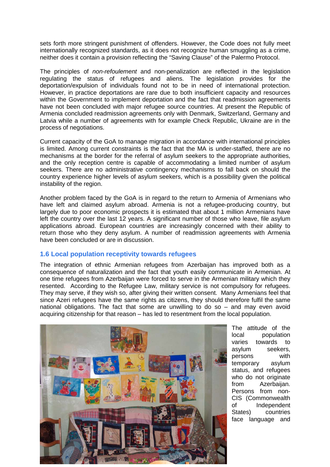sets forth more stringent punishment of offenders. However, the Code does not fully meet internationally recognized standards, as it does not recognize human smuggling as a crime, neither does it contain a provision reflecting the "Saving Clause" of the Palermo Protocol.

The principles of *non-refoulement* and non-penalization are reflected in the legislation regulating the status of refugees and aliens. The legislation provides for the deportation/expulsion of individuals found not to be in need of international protection. However, in practice deportations are rare due to both insufficient capacity and resources within the Government to implement deportation and the fact that readmission agreements have not been concluded with major refugee source countries. At present the Republic of Armenia concluded readmission agreements only with Denmark, Switzerland, Germany and Latvia while a number of agreements with for example Check Republic, Ukraine are in the process of negotiations.

Current capacity of the GoA to manage migration in accordance with international principles is limited. Among current constraints is the fact that the MA is under-staffed, there are no mechanisms at the border for the referral of asylum seekers to the appropriate authorities, and the only reception centre is capable of accommodating a limited number of asylum seekers. There are no administrative contingency mechanisms to fall back on should the country experience higher levels of asylum seekers, which is a possibility given the political instability of the region.

Another problem faced by the GoA is in regard to the return to Armenia of Armenians who have left and claimed asylum abroad. Armenia is not a refugee-producing country, but largely due to poor economic prospects it is estimated that about 1 million Armenians have left the country over the last 12 years. A significant number of those who leave, file asylum applications abroad. European countries are increasingly concerned with their ability to return those who they deny asylum. A number of readmission agreements with Armenia have been concluded or are in discussion.

# **1.6 Local population receptivity towards refugees**

The integration of ethnic Armenian refugees from Azerbaijan has improved both as a consequence of naturalization and the fact that youth easily communicate in Armenian. At one time refugees from Azerbaijan were forced to serve in the Armenian military which they resented. According to the Refugee Law, military service is not compulsory for refugees. They may serve, if they wish so, after giving their written consent. Many Armenians feel that since Azeri refugees have the same rights as citizens, they should therefore fulfil the same national obligations. The fact that some are unwilling to do so – and may even avoid acquiring citizenship for that reason – has led to resentment from the local population.



The attitude of the local population varies towards to asylum seekers, persons with temporary asylum status, and refugees who do not originate from Azerbaijan. Persons from non-CIS (Commonwealth of Independent States) countries face language and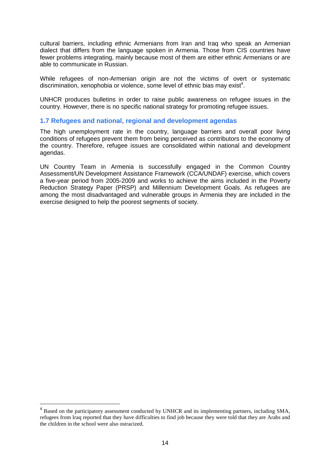cultural barriers, including ethnic Armenians from Iran and Iraq who speak an Armenian dialect that differs from the language spoken in Armenia. Those from CIS countries have fewer problems integrating, mainly because most of them are either ethnic Armenians or are able to communicate in Russian.

While refugees of non-Armenian origin are not the victims of overt or systematic discrimination, xenophobia or violence, some level of ethnic bias may exist<sup>4</sup>.

UNHCR produces bulletins in order to raise public awareness on refugee issues in the country. However, there is no specific national strategy for promoting refugee issues.

#### **1.7 Refugees and national, regional and development agendas**

The high unemployment rate in the country, language barriers and overall poor living conditions of refugees prevent them from being perceived as contributors to the economy of the country. Therefore, refugee issues are consolidated within national and development agendas.

UN Country Team in Armenia is successfully engaged in the Common Country Assessment/UN Development Assistance Framework (CCA/UNDAF) exercise, which covers a five-year period from 2005-2009 and works to achieve the aims included in the Poverty Reduction Strategy Paper (PRSP) and Millennium Development Goals. As refugees are among the most disadvantaged and vulnerable groups in Armenia they are included in the exercise designed to help the poorest segments of society.

 $\overline{a}$ 

<sup>&</sup>lt;sup>4</sup> Based on the participatory assessment conducted by UNHCR and its implementing partners, including SMA, refugees from Iraq reported that they have difficulties to find job because they were told that they are Arabs and the children in the school were also ostracized.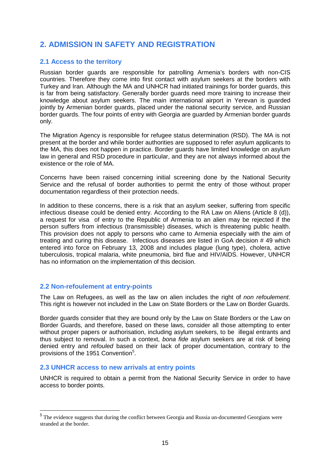# **2. ADMISSION IN SAFETY AND REGISTRATION**

### **2.1 Access to the territory**

Russian border guards are responsible for patrolling Armenia's borders with non-CIS countries. Therefore they come into first contact with asylum seekers at the borders with Turkey and Iran. Although the MA and UNHCR had initiated trainings for border guards, this is far from being satisfactory. Generally border guards need more training to increase their knowledge about asylum seekers. The main international airport in Yerevan is guarded jointly by Armenian border guards, placed under the national security service, and Russian border guards. The four points of entry with Georgia are guarded by Armenian border guards only.

The Migration Agency is responsible for refugee status determination (RSD). The MA is not present at the border and while border authorities are supposed to refer asylum applicants to the MA, this does not happen in practice. Border guards have limited knowledge on asylum law in general and RSD procedure in particular, and they are not always informed about the existence or the role of MA.

Concerns have been raised concerning initial screening done by the National Security Service and the refusal of border authorities to permit the entry of those without proper documentation regardless of their protection needs.

In addition to these concerns, there is a risk that an asylum seeker, suffering from specific infectious disease could be denied entry. According to the RA Law on Aliens (Article 8 (d)), a request for visa of entry to the Republic of Armenia to an alien may be rejected if the person suffers from infectious (transmissible) diseases, which is threatening public health. This provision does not apply to persons who came to Armenia especially with the aim of treating and curing this disease. Infectious diseases are listed in GoA decision # 49 which entered into force on February 13, 2008 and includes plague (lung type), cholera, active tuberculosis, tropical malaria, white pneumonia, bird flue and HIV/AIDS. However, UNHCR has no information on the implementation of this decision.

#### **2.2 Non-refoulement at entry-points**

 $\overline{a}$ 

The Law on Refugees, as well as the law on alien includes the right of *non refoulement*. This right is however not included in the Law on State Borders or the Law on Border Guards.

Border guards consider that they are bound only by the Law on State Borders or the Law on Border Guards, and therefore, based on these laws, consider all those attempting to enter without proper papers or authorisation, including asylum seekers, to be illegal entrants and thus subject to removal. In such a context, *bona fide* asylum seekers are at risk of being denied entry and *refouled* based on their lack of proper documentation, contrary to the provisions of the 1951 Convention<sup>5</sup>.

# **2.3 UNHCR access to new arrivals at entry points**

UNHCR is required to obtain a permit from the National Security Service in order to have access to border points.

<sup>&</sup>lt;sup>5</sup> The evidence suggests that during the conflict between Georgia and Russia un-documented Georgians were stranded at the border.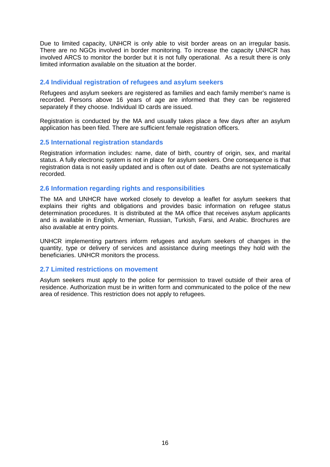Due to limited capacity, UNHCR is only able to visit border areas on an irregular basis. There are no NGOs involved in border monitoring. To increase the capacity UNHCR has involved ARCS to monitor the border but it is not fully operational. As a result there is only limited information available on the situation at the border.

# **2.4 Individual registration of refugees and asylum seekers**

Refugees and asylum seekers are registered as families and each family member's name is recorded. Persons above 16 years of age are informed that they can be registered separately if they choose. Individual ID cards are issued.

Registration is conducted by the MA and usually takes place a few days after an asylum application has been filed. There are sufficient female registration officers.

#### **2.5 International registration standards**

Registration information includes: name, date of birth, country of origin, sex, and marital status. A fully electronic system is not in place for asylum seekers. One consequence is that registration data is not easily updated and is often out of date. Deaths are not systematically recorded.

#### **2.6 Information regarding rights and responsibilities**

The MA and UNHCR have worked closely to develop a leaflet for asylum seekers that explains their rights and obligations and provides basic information on refugee status determination procedures. It is distributed at the MA office that receives asylum applicants and is available in English, Armenian, Russian, Turkish, Farsi, and Arabic. Brochures are also available at entry points.

UNHCR implementing partners inform refugees and asylum seekers of changes in the quantity, type or delivery of services and assistance during meetings they hold with the beneficiaries. UNHCR monitors the process.

#### **2.7 Limited restrictions on movement**

Asylum seekers must apply to the police for permission to travel outside of their area of residence. Authorization must be in written form and communicated to the police of the new area of residence. This restriction does not apply to refugees.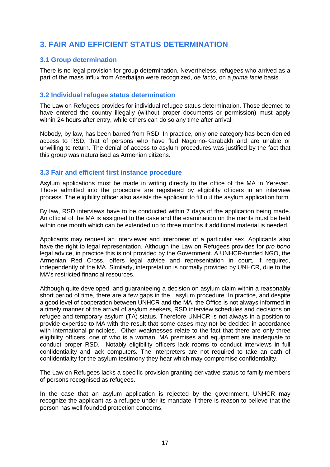# **3. FAIR AND EFFICIENT STATUS DETERMINATION**

# **3.1 Group determination**

There is no legal provision for group determination. Nevertheless, refugees who arrived as a part of the mass influx from Azerbaijan were recognized, *de facto*, on a *prima facie* basis.

### **3.2 Individual refugee status determination**

The Law on Refugees provides for individual refugee status determination. Those deemed to have entered the country illegally (without proper documents or permission) must apply within 24 hours after entry, while others can do so any time after arrival.

Nobody, by law, has been barred from RSD. In practice, only one category has been denied access to RSD, that of persons who have fled Nagorno-Karabakh and are unable or unwilling to return. The denial of access to asylum procedures was justified by the fact that this group was naturalised as Armenian citizens.

### **3.3 Fair and efficient first instance procedure**

Asylum applications must be made in writing directly to the office of the MA in Yerevan. Those admitted into the procedure are registered by eligibility officers in an interview process. The eligibility officer also assists the applicant to fill out the asylum application form.

By law, RSD interviews have to be conducted within 7 days of the application being made. An official of the MA is assigned to the case and the examination on the merits must be held within one month which can be extended up to three months if additional material is needed.

Applicants may request an interviewer and interpreter of a particular sex. Applicants also have the right to legal representation. Although the Law on Refugees provides for *pro bono* legal advice, in practice this is not provided by the Government. A UNHCR-funded NGO, the Armenian Red Cross, offers legal advice and representation in court, if required, independently of the MA. Similarly, interpretation is normally provided by UNHCR, due to the MA's restricted financial resources.

Although quite developed, and guaranteeing a decision on asylum claim within a reasonably short period of time, there are a few gaps in the asylum procedure. In practice, and despite a good level of cooperation between UNHCR and the MA, the Office is not always informed in a timely manner of the arrival of asylum seekers, RSD interview schedules and decisions on refugee and temporary asylum (TA) status. Therefore UNHCR is not always in a position to provide expertise to MA with the result that some cases may not be decided in accordance with international principles. Other weaknesses relate to the fact that there are only three eligibility officers, one of who is a woman. MA premises and equipment are inadequate to conduct proper RSD. Notably eligibility officers lack rooms to conduct interviews in full confidentiality and lack computers. The interpreters are not required to take an oath of confidentiality for the asylum testimony they hear which may compromise confidentiality.

The Law on Refugees lacks a specific provision granting derivative status to family members of persons recognised as refugees.

In the case that an asylum application is rejected by the government, UNHCR may recognize the applicant as a refugee under its mandate if there is reason to believe that the person has well founded protection concerns.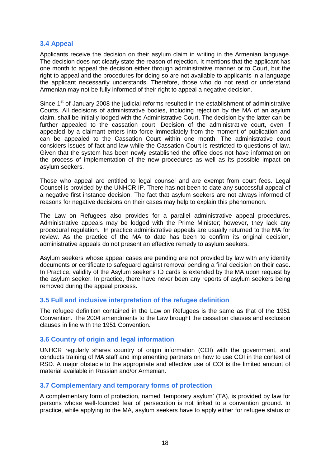### **3.4 Appeal**

Applicants receive the decision on their asylum claim in writing in the Armenian language. The decision does not clearly state the reason of rejection. It mentions that the applicant has one month to appeal the decision either through administrative manner or to Court, but the right to appeal and the procedures for doing so are not available to applicants in a language the applicant necessarily understands. Therefore, those who do not read or understand Armenian may not be fully informed of their right to appeal a negative decision.

Since  $1<sup>st</sup>$  of January 2008 the judicial reforms resulted in the establishment of administrative Courts. All decisions of administrative bodies, including rejection by the MA of an asylum claim, shall be initially lodged with the Administrative Court. The decision by the latter can be further appealed to the cassation court. Decision of the administrative court, even if appealed by a claimant enters into force immediately from the moment of publication and can be appealed to the Cassation Court within one month. The administrative court considers issues of fact and law while the Cassation Court is restricted to questions of law. Given that the system has been newly established the office does not have information on the process of implementation of the new procedures as well as its possible impact on asylum seekers.

Those who appeal are entitled to legal counsel and are exempt from court fees. Legal Counsel is provided by the UNHCR IP. There has not been to date any successful appeal of a negative first instance decision. The fact that asylum seekers are not always informed of reasons for negative decisions on their cases may help to explain this phenomenon.

The Law on Refugees also provides for a parallel administrative appeal procedures. Administrative appeals may be lodged with the Prime Minister; however, they lack any procedural regulation. In practice administrative appeals are usually returned to the MA for review. As the practice of the MA to date has been to confirm its original decision, administrative appeals do not present an effective remedy to asylum seekers.

Asylum seekers whose appeal cases are pending are not provided by law with any identity documents or certificate to safeguard against removal pending a final decision on their case. In Practice, validity of the Asylum seeker's ID cards is extended by the MA upon request by the asylum seeker. In practice, there have never been any reports of asylum seekers being removed during the appeal process.

#### **3.5 Full and inclusive interpretation of the refugee definition**

The refugee definition contained in the Law on Refugees is the same as that of the 1951 Convention. The 2004 amendments to the Law brought the cessation clauses and exclusion clauses in line with the 1951 Convention.

# **3.6 Country of origin and legal information**

UNHCR regularly shares country of origin information (COI) with the government, and conducts training of MA staff and implementing partners on how to use COI in the context of RSD. A major obstacle to the appropriate and effective use of COI is the limited amount of material available in Russian and/or Armenian.

# **3.7 Complementary and temporary forms of protection**

A complementary form of protection, named 'temporary asylum' (TA), is provided by law for persons whose well-founded fear of persecution is not linked to a convention ground. In practice, while applying to the MA, asylum seekers have to apply either for refugee status or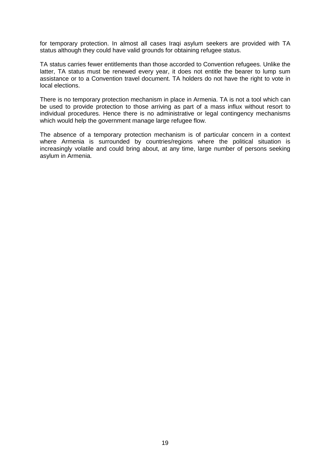for temporary protection. In almost all cases Iraqi asylum seekers are provided with TA status although they could have valid grounds for obtaining refugee status.

TA status carries fewer entitlements than those accorded to Convention refugees. Unlike the latter, TA status must be renewed every year, it does not entitle the bearer to lump sum assistance or to a Convention travel document. TA holders do not have the right to vote in local elections.

There is no temporary protection mechanism in place in Armenia. TA is not a tool which can be used to provide protection to those arriving as part of a mass influx without resort to individual procedures. Hence there is no administrative or legal contingency mechanisms which would help the government manage large refugee flow.

The absence of a temporary protection mechanism is of particular concern in a context where Armenia is surrounded by countries/regions where the political situation is increasingly volatile and could bring about, at any time, large number of persons seeking asylum in Armenia.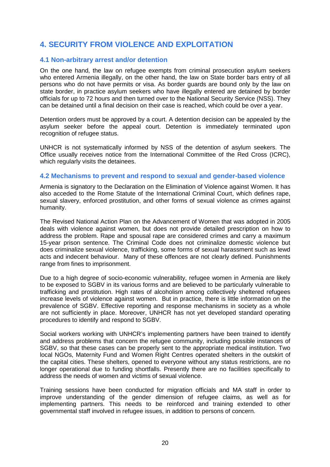# **4. SECURITY FROM VIOLENCE AND EXPLOITATION**

### **4.1 Non-arbitrary arrest and/or detention**

On the one hand, the law on refugee exempts from criminal prosecution asylum seekers who entered Armenia illegally, on the other hand, the law on State border bars entry of all persons who do not have permits or visa. As border guards are bound only by the law on state border, in practice asylum seekers who have illegally entered are detained by border officials for up to 72 hours and then turned over to the National Security Service (NSS). They can be detained until a final decision on their case is reached, which could be over a year.

Detention orders must be approved by a court. A detention decision can be appealed by the asylum seeker before the appeal court. Detention is immediately terminated upon recognition of refugee status.

UNHCR is not systematically informed by NSS of the detention of asylum seekers. The Office usually receives notice from the International Committee of the Red Cross (ICRC), which regularly visits the detainees.

### **4.2 Mechanisms to prevent and respond to sexual and gender-based violence**

Armenia is signatory to the Declaration on the Elimination of Violence against Women. It has also acceded to the Rome Statute of the International Criminal Court, which defines rape, sexual slavery, enforced prostitution, and other forms of sexual violence as crimes against humanity.

The Revised National Action Plan on the Advancement of Women that was adopted in 2005 deals with violence against women, but does not provide detailed prescription on how to address the problem. Rape and spousal rape are considered crimes and carry a maximum 15-year prison sentence. The Criminal Code does not criminalize domestic violence but does criminalize sexual violence, trafficking, some forms of sexual harassment such as lewd acts and indecent behaviour. Many of these offences are not clearly defined. Punishments range from fines to imprisonment.

Due to a high degree of socio-economic vulnerability, refugee women in Armenia are likely to be exposed to SGBV in its various forms and are believed to be particularly vulnerable to trafficking and prostitution. High rates of alcoholism among collectively sheltered refugees increase levels of violence against women. But in practice, there is little information on the prevalence of SGBV. Effective reporting and response mechanisms in society as a whole are not sufficiently in place. Moreover, UNHCR has not yet developed standard operating procedures to identify and respond to SGBV.

Social workers working with UNHCR's implementing partners have been trained to identify and address problems that concern the refugee community, including possible instances of SGBV, so that these cases can be properly sent to the appropriate medical institution. Two local NGOs, Maternity Fund and Women Right Centres operated shelters in the outskirt of the capital cities. These shelters, opened to everyone without any status restrictions, are no longer operational due to funding shortfalls. Presently there are no facilities specifically to address the needs of women and victims of sexual violence.

Training sessions have been conducted for migration officials and MA staff in order to improve understanding of the gender dimension of refugee claims, as well as for implementing partners. This needs to be reinforced and training extended to other governmental staff involved in refugee issues, in addition to persons of concern.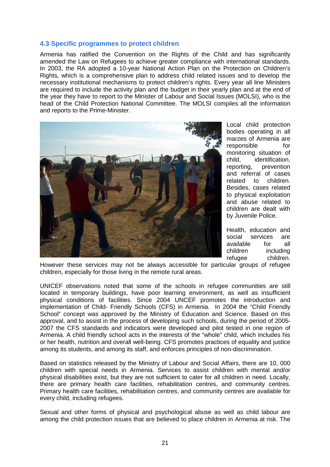### **4.3 Specific programmes to protect children**

Armenia has ratified the Convention on the Rights of the Child and has significantly amended the Law on Refugees to achieve greater compliance with international standards. In 2003, the RA adopted a 10-year National Action Plan on the Protection on Children's Rights, which is a comprehensive plan to address child related issues and to develop the necessary institutional mechanisms to protect children's rights. Every year all line Ministers are required to include the activity plan and the budget in their yearly plan and at the end of the year they have to report to the Minister of Labour and Social Issues (MOLSI), who is the head of the Child Protection National Committee. The MOLSI compiles all the information and reports to the Prime-Minister.



Local child protection bodies operating in all marzes of Armenia are responsible for monitoring situation of child, identification, reporting, prevention and referral of cases related to children. Besides, cases related to physical exploitation and abuse related to children are dealt with by Juvenile Police.

Health, education and social services are available for all children including refugee children.

However these services may not be always accessible for particular groups of refugee children, especially for those living in the remote rural areas.

UNICEF observations noted that some of the schools in refugee communities are still located in temporary buildings, have poor learning environment, as well as insufficient physical conditions of facilities. Since 2004 UNCEF promotes the introduction and implementation of Child- Friendly Schools (CFS) in Armenia. In 2004 the "Child Friendly School" concept was approved by the Ministry of Education and Science. Based on this approval, and to assist in the process of developing such schools, during the period of 2005- 2007 the CFS standards and indicators were developed and pilot tested in one region of Armenia. A child friendly school acts in the interests of the "whole" child, which includes his or her health, nutrition and overall well-being. CFS promotes practices of equality and justice among its students, and among its staff, and enforces principles of non-discrimination.

Based on statistics released by the Ministry of Labour and Social Affairs, there are 10, 000 children with special needs in Armenia. Services to assist children with mental and/or physical disabilities exist, but they are not sufficient to cater for all children in need. Locally, there are primary health care facilities, rehabilitation centres, and community centres. Primary health care facilities, rehabilitation centres, and community centres are available for every child, including refugees.

Sexual and other forms of physical and psychological abuse as well as child labour are among the child protection issues that are believed to place children in Armenia at risk. The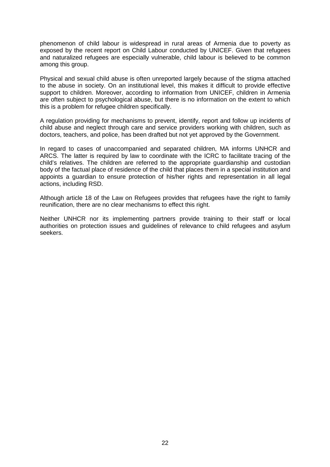phenomenon of child labour is widespread in rural areas of Armenia due to poverty as exposed by the recent report on Child Labour conducted by UNICEF. Given that refugees and naturalized refugees are especially vulnerable, child labour is believed to be common among this group.

Physical and sexual child abuse is often unreported largely because of the stigma attached to the abuse in society. On an institutional level, this makes it difficult to provide effective support to children. Moreover, according to information from UNICEF, children in Armenia are often subject to psychological abuse, but there is no information on the extent to which this is a problem for refugee children specifically.

A regulation providing for mechanisms to prevent, identify, report and follow up incidents of child abuse and neglect through care and service providers working with children, such as doctors, teachers, and police, has been drafted but not yet approved by the Government.

In regard to cases of unaccompanied and separated children, MA informs UNHCR and ARCS. The latter is required by law to coordinate with the ICRC to facilitate tracing of the child's relatives. The children are referred to the appropriate guardianship and custodian body of the factual place of residence of the child that places them in a special institution and appoints a guardian to ensure protection of his/her rights and representation in all legal actions, including RSD.

Although article 18 of the Law on Refugees provides that refugees have the right to family reunification, there are no clear mechanisms to effect this right.

Neither UNHCR nor its implementing partners provide training to their staff or local authorities on protection issues and guidelines of relevance to child refugees and asylum seekers.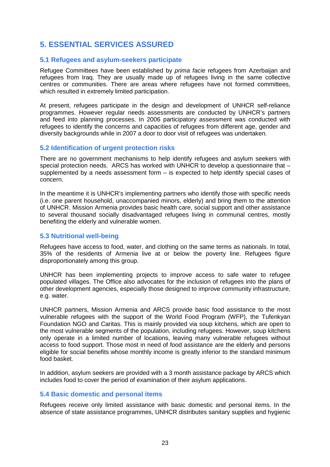# **5. ESSENTIAL SERVICES ASSURED**

### **5.1 Refugees and asylum-seekers participate**

Refugee Committees have been established by *prima facie* refugees from Azerbaijan and refugees from Iraq. They are usually made up of refugees living in the same collective centres or communities. There are areas where refugees have not formed committees, which resulted in extremely limited participation.

At present, refugees participate in the design and development of UNHCR self-reliance programmes. However regular needs assessments are conducted by UNHCR's partners and feed into planning processes. In 2006 participatory assessment was conducted with refugees to identify the concerns and capacities of refugees from different age, gender and diversity backgrounds while in 2007 a door to door visit of refugees was undertaken.

### **5.2 Identification of urgent protection risks**

There are no government mechanisms to help identify refugees and asylum seekers with special protection needs. ARCS has worked with UNHCR to develop a questionnaire that supplemented by a needs assessment form  $-$  is expected to help identify special cases of concern.

In the meantime it is UNHCR's implementing partners who identify those with specific needs (i.e. one parent household, unaccompanied minors, elderly) and bring them to the attention of UNHCR. Mission Armenia provides basic health care, social support and other assistance to several thousand socially disadvantaged refugees living in communal centres, mostly benefiting the elderly and vulnerable women.

#### **5.3 Nutritional well-being**

Refugees have access to food, water, and clothing on the same terms as nationals. In total, 35% of the residents of Armenia live at or below the poverty line. Refugees figure disproportionately among this group.

UNHCR has been implementing projects to improve access to safe water to refugee populated villages. The Office also advocates for the inclusion of refugees into the plans of other development agencies, especially those designed to improve community infrastructure, e.g. water.

UNHCR partners, Mission Armenia and ARCS provide basic food assistance to the most vulnerable refugees with the support of the World Food Program (WFP), the Tufenkyan Foundation NGO and Caritas. This is mainly provided via soup kitchens, which are open to the most vulnerable segments of the population, including refugees. However, soup kitchens only operate in a limited number of locations, leaving many vulnerable refugees without access to food support. Those most in need of food assistance are the elderly and persons eligible for social benefits whose monthly income is greatly inferior to the standard minimum food basket.

In addition, asylum seekers are provided with a 3 month assistance package by ARCS which includes food to cover the period of examination of their asylum applications.

#### **5.4 Basic domestic and personal items**

Refugees receive only limited assistance with basic domestic and personal items. In the absence of state assistance programmes, UNHCR distributes sanitary supplies and hygienic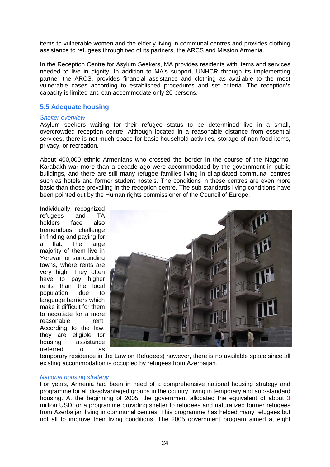items to vulnerable women and the elderly living in communal centres and provides clothing assistance to refugees through two of its partners, the ARCS and Mission Armenia.

In the Reception Centre for Asylum Seekers, MA provides residents with items and services needed to live in dignity. In addition to MA's support, UNHCR through its implementing partner the ARCS, provides financial assistance and clothing as available to the most vulnerable cases according to established procedures and set criteria. The reception's capacity is limited and can accommodate only 20 persons.

#### **5.5 Adequate housing**

#### *Shelter overview*

Asylum seekers waiting for their refugee status to be determined live in a small, overcrowded reception centre. Although located in a reasonable distance from essential services, there is not much space for basic household activities, storage of non-food items, privacy, or recreation.

About 400,000 ethnic Armenians who crossed the border in the course of the Nagorno-Karabakh war more than a decade ago were accommodated by the government in public buildings, and there are still many refugee families living in dilapidated communal centres such as hotels and former student hostels. The conditions in these centres are even more basic than those prevailing in the reception centre. The sub standards living conditions have been pointed out by the Human rights commissioner of the Council of Europe.

Individually recognized refugees and TA holders face also tremendous challenge in finding and paying for a flat. The large majority of them live in Yerevan or surrounding towns, where rents are very high. They often have to pay higher rents than the local population due to language barriers which make it difficult for them to negotiate for a more reasonable rent. According to the law, they are eligible for housing assistance (referred to as



temporary residence in the Law on Refugees) however, there is no available space since all existing accommodation is occupied by refugees from Azerbaijan.

#### *National housing strategy*

For years, Armenia had been in need of a comprehensive national housing strategy and programme for all disadvantaged groups in the country, living in temporary and sub-standard housing. At the beginning of 2005, the government allocated the equivalent of about 3 million USD for a programme providing shelter to refugees and naturalized former refugees from Azerbaijan living in communal centres. This programme has helped many refugees but not all to improve their living conditions. The 2005 government program aimed at eight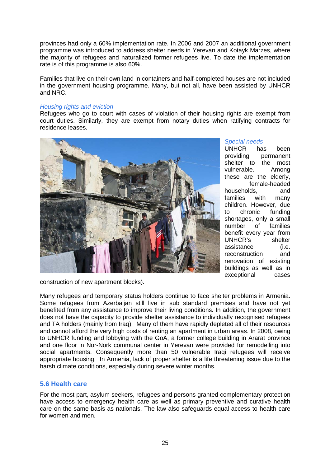provinces had only a 60% implementation rate. In 2006 and 2007 an additional government programme was introduced to address shelter needs in Yerevan and Kotayk Marzes, where the majority of refugees and naturalized former refugees live. To date the implementation rate is of this programme is also 60%.

Families that live on their own land in containers and half-completed houses are not included in the government housing programme. Many, but not all, have been assisted by UNHCR and NRC.

#### *Housing rights and eviction*

Refugees who go to court with cases of violation of their housing rights are exempt from court duties. Similarly, they are exempt from notary duties when ratifying contracts for residence leases.



#### *Special needs*

UNHCR has been<br>providing permanent permanent shelter to the most vulnerable. Among these are the elderly, female-headed households, and families with many children. However, due to chronic funding shortages, only a small number of families benefit every year from UNHCR's shelter assistance (i.e. reconstruction and renovation of existing buildings as well as in exceptional cases

construction of new apartment blocks).

Many refugees and temporary status holders continue to face shelter problems in Armenia. Some refugees from Azerbaijan still live in sub standard premises and have not yet benefited from any assistance to improve their living conditions. In addition, the government does not have the capacity to provide shelter assistance to individually recognised refugees and TA holders (mainly from Iraq). Many of them have rapidly depleted all of their resources and cannot afford the very high costs of renting an apartment in urban areas. In 2008, owing to UNHCR funding and lobbying with the GoA, a former college building in Ararat province and one floor in Nor-Nork communal center in Yerevan were provided for remodelling into social apartments. Consequently more than 50 vulnerable Iraqi refugees will receive appropriate housing. In Armenia, lack of proper shelter is a life threatening issue due to the harsh climate conditions, especially during severe winter months.

#### **5.6 Health care**

For the most part, asylum seekers, refugees and persons granted complementary protection have access to emergency health care as well as primary preventive and curative health care on the same basis as nationals. The law also safeguards equal access to health care for women and men.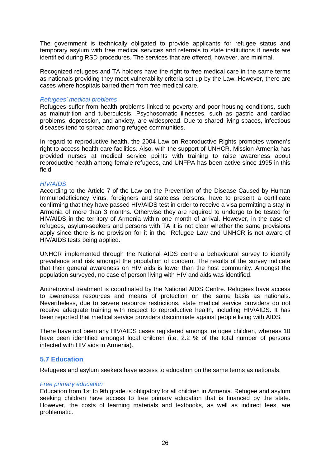The government is technically obligated to provide applicants for refugee status and temporary asylum with free medical services and referrals to state institutions if needs are identified during RSD procedures. The services that are offered, however, are minimal.

Recognized refugees and TA holders have the right to free medical care in the same terms as nationals providing they meet vulnerability criteria set up by the Law. However, there are cases where hospitals barred them from free medical care.

#### *Refugees' medical problems*

Refugees suffer from health problems linked to poverty and poor housing conditions, such as malnutrition and tuberculosis. Psychosomatic illnesses, such as gastric and cardiac problems, depression, and anxiety, are widespread. Due to shared living spaces, infectious diseases tend to spread among refugee communities.

In regard to reproductive health, the 2004 Law on Reproductive Rights promotes women's right to access health care facilities. Also, with the support of UNHCR, Mission Armenia has provided nurses at medical service points with training to raise awareness about reproductive health among female refugees, and UNFPA has been active since 1995 in this field.

#### *HIV/AIDS*

According to the Article 7 of the Law on the Prevention of the Disease Caused by Human Immunodeficiency Virus, foreigners and stateless persons, have to present a certificate confirming that they have passed HIV/AIDS test in order to receive a visa permitting a stay in Armenia of more than 3 months. Otherwise they are required to undergo to be tested for HIV/AIDS in the territory of Armenia within one month of arrival. However, in the case of refugees, asylum-seekers and persons with TA it is not clear whether the same provisions apply since there is no provision for it in the Refugee Law and UNHCR is not aware of HIV/AIDS tests being applied.

UNHCR implemented through the National AIDS centre a behavioural survey to identify prevalence and risk amongst the population of concern. The results of the survey indicate that their general awareness on HIV aids is lower than the host community. Amongst the population surveyed, no case of person living with HIV and aids was identified.

Antiretroviral treatment is coordinated by the National AIDS Centre. Refugees have access to awareness resources and means of protection on the same basis as nationals. Nevertheless, due to severe resource restrictions, state medical service providers do not receive adequate training with respect to reproductive health, including HIV/AIDS. It has been reported that medical service providers discriminate against people living with AIDS.

There have not been any HIV/AIDS cases registered amongst refugee children, whereas 10 have been identified amongst local children (i.e. 2.2 % of the total number of persons infected with HIV aids in Armenia).

#### **5.7 Education**

Refugees and asylum seekers have access to education on the same terms as nationals.

#### *Free primary education*

Education from 1st to 9th grade is obligatory for all children in Armenia. Refugee and asylum seeking children have access to free primary education that is financed by the state. However, the costs of learning materials and textbooks, as well as indirect fees, are problematic.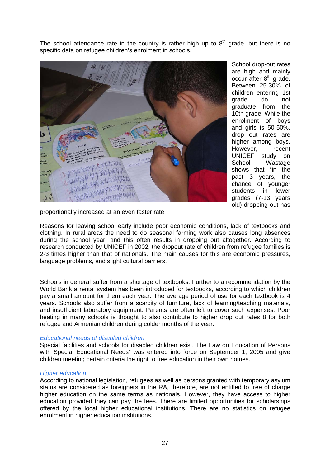The school attendance rate in the country is rather high up to  $8<sup>th</sup>$  grade, but there is no specific data on refugee children's enrolment in schools.



School drop-out rates are high and mainly occur after 8<sup>th</sup> grade. Between 25-30% of children entering 1st grade do not graduate from the 10th grade. While the enrolment of boys and girls is 50-50%, drop out rates are higher among boys. However, recent UNICEF study on<br>School Wastage Wastage shows that "in the past 3 years, the chance of younger students in lower grades (7-13 years old) dropping out has

proportionally increased at an even faster rate.

Reasons for leaving school early include poor economic conditions, lack of textbooks and clothing. In rural areas the need to do seasonal farming work also causes long absences during the school year, and this often results in dropping out altogether. According to research conducted by UNICEF in 2002, the dropout rate of children from refugee families is 2-3 times higher than that of nationals. The main causes for this are economic pressures, language problems, and slight cultural barriers.

Schools in general suffer from a shortage of textbooks. Further to a recommendation by the World Bank a rental system has been introduced for textbooks, according to which children pay a small amount for them each year. The average period of use for each textbook is 4 years. Schools also suffer from a scarcity of furniture, lack of learning/teaching materials, and insufficient laboratory equipment. Parents are often left to cover such expenses. Poor heating in many schools is thought to also contribute to higher drop out rates 8 for both refugee and Armenian children during colder months of the year.

#### *Educational needs of disabled children*

Special facilities and schools for disabled children exist. The Law on Education of Persons with Special Educational Needs" was entered into force on September 1, 2005 and give children meeting certain criteria the right to free education in their own homes.

#### *Higher education*

According to national legislation, refugees as well as persons granted with temporary asylum status are considered as foreigners in the RA, therefore, are not entitled to free of charge higher education on the same terms as nationals. However, they have access to higher education provided they can pay the fees. There are limited opportunities for scholarships offered by the local higher educational institutions. There are no statistics on refugee enrolment in higher education institutions.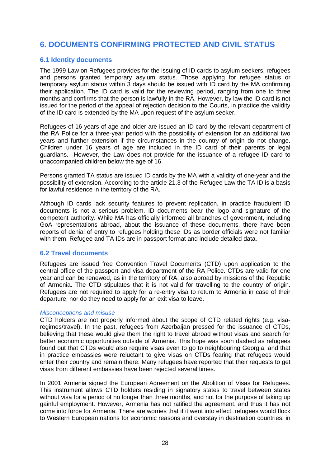# **6. DOCUMENTS CONFIRMING PROTECTED AND CIVIL STATUS**

# **6.1 Identity documents**

The 1999 Law on Refugees provides for the issuing of ID cards to asylum seekers, refugees and persons granted temporary asylum status. Those applying for refugee status or temporary asylum status within 3 days should be issued with ID card by the MA confirming their application. The ID card is valid for the reviewing period, ranging from one to three months and confirms that the person is lawfully in the RA. However, by law the ID card is not issued for the period of the appeal of rejection decision to the Courts, in practice the validity of the ID card is extended by the MA upon request of the asylum seeker.

Refugees of 16 years of age and older are issued an ID card by the relevant department of the RA Police for a three-year period with the possibility of extension for an additional two years and further extension if the circumstances in the country of origin do not change. Children under 16 years of age are included in the ID card of their parents or legal guardians. However, the Law does not provide for the issuance of a refugee ID card to unaccompanied children below the age of 16.

Persons granted TA status are issued ID cards by the MA with a validity of one-year and the possibility of extension. According to the article 21.3 of the Refugee Law the TA ID is a basis for lawful residence in the territory of the RA.

Although ID cards lack security features to prevent replication, in practice fraudulent ID documents is not a serious problem. ID documents bear the logo and signature of the competent authority. While MA has officially informed all branches of government, including GoA representations abroad, about the issuance of these documents, there have been reports of denial of entry to refugees holding these IDs as border officials were not familiar with them. Refugee and TA IDs are in passport format and include detailed data.

#### **6.2 Travel documents**

Refugees are issued free Convention Travel Documents (CTD) upon application to the central office of the passport and visa department of the RA Police. CTDs are valid for one year and can be renewed, as in the territory of RA, also abroad by missions of the Republic of Armenia. The CTD stipulates that it is not valid for travelling to the country of origin. Refugees are not required to apply for a re-entry visa to return to Armenia in case of their departure, nor do they need to apply for an exit visa to leave.

#### *Misconceptions and misuse*

CTD holders are not properly informed about the scope of CTD related rights (e.g. visaregimes/travel). In the past, refugees from Azerbaijan pressed for the issuance of CTDs, believing that these would give them the right to travel abroad without visas and search for better economic opportunities outside of Armenia. This hope was soon dashed as refugees found out that CTDs would also require visas even to go to neighbouring Georgia, and that in practice embassies were reluctant to give visas on CTDs fearing that refugees would enter their country and remain there. Many refugees have reported that their requests to get visas from different embassies have been rejected several times.

In 2001 Armenia signed the European Agreement on the Abolition of Visas for Refugees. This instrument allows CTD holders residing in signatory states to travel between states without visa for a period of no longer than three months, and not for the purpose of taking up gainful employment. However, Armenia has not ratified the agreement, and thus it has not come into force for Armenia. There are worries that if it went into effect, refugees would flock to Western European nations for economic reasons and overstay in destination countries, in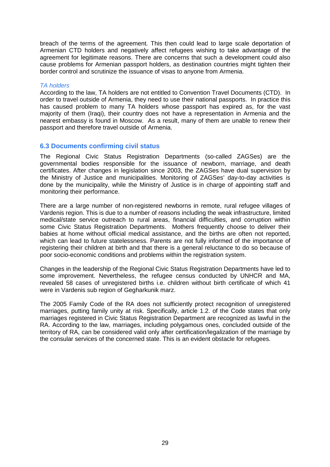breach of the terms of the agreement. This then could lead to large scale deportation of Armenian CTD holders and negatively affect refugees wishing to take advantage of the agreement for legitimate reasons. There are concerns that such a development could also cause problems for Armenian passport holders, as destination countries might tighten their border control and scrutinize the issuance of visas to anyone from Armenia.

#### *TA holders*

According to the law, TA holders are not entitled to Convention Travel Documents (CTD). In order to travel outside of Armenia, they need to use their national passports. In practice this has caused problem to many TA holders whose passport has expired as, for the vast majority of them (Iraqi), their country does not have a representation in Armenia and the nearest embassy is found in Moscow. As a result, many of them are unable to renew their passport and therefore travel outside of Armenia.

### **6.3 Documents confirming civil status**

The Regional Civic Status Registration Departments (so-called ZAGSes) are the governmental bodies responsible for the issuance of newborn, marriage, and death certificates. After changes in legislation since 2003, the ZAGSes have dual supervision by the Ministry of Justice and municipalities. Monitoring of ZAGSes' day-to-day activities is done by the municipality, while the Ministry of Justice is in charge of appointing staff and monitoring their performance.

There are a large number of non-registered newborns in remote, rural refugee villages of Vardenis region. This is due to a number of reasons including the weak infrastructure, limited medical/state service outreach to rural areas, financial difficulties, and corruption within some Civic Status Registration Departments. Mothers frequently choose to deliver their babies at home without official medical assistance, and the births are often not reported, which can lead to future statelessness. Parents are not fully informed of the importance of registering their children at birth and that there is a general reluctance to do so because of poor socio-economic conditions and problems within the registration system.

Changes in the leadership of the Regional Civic Status Registration Departments have led to some improvement. Nevertheless, the refugee census conducted by UNHCR and MA, revealed 58 cases of unregistered births i.e. children without birth certificate of which 41 were in Vardenis sub region of Gegharkunik marz.

The 2005 Family Code of the RA does not sufficiently protect recognition of unregistered marriages, putting family unity at risk. Specifically, article 1.2. of the Code states that only marriages registered in Civic Status Registration Department are recognized as lawful in the RA. According to the law, marriages, including polygamous ones, concluded outside of the territory of RA, can be considered valid only after certification/legalization of the marriage by the consular services of the concerned state. This is an evident obstacle for refugees.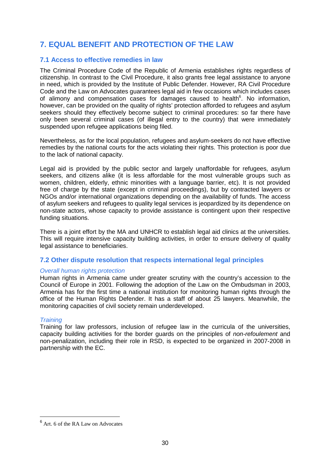# **7. EQUAL BENEFIT AND PROTECTION OF THE LAW**

# **7.1 Access to effective remedies in law**

The Criminal Procedure Code of the Republic of Armenia establishes rights regardless of citizenship. In contrast to the Civil Procedure, it also grants free legal assistance to anyone in need, which is provided by the Institute of Public Defender. However, RA Civil Procedure Code and the Law on Advocates guarantees legal aid in few occasions which includes cases of alimony and compensation cases for damages caused to health<sup>6</sup>. No information, however, can be provided on the quality of rights' protection afforded to refugees and asylum seekers should they effectively become subject to criminal procedures: so far there have only been several criminal cases (of illegal entry to the country) that were immediately suspended upon refugee applications being filed.

Nevertheless, as for the local population, refugees and asylum-seekers do not have effective remedies by the national courts for the acts violating their rights. This protection is poor due to the lack of national capacity.

Legal aid is provided by the public sector and largely unaffordable for refugees, asylum seekers, and citizens alike (it is less affordable for the most vulnerable groups such as women, children, elderly, ethnic minorities with a language barrier, etc). It is not provided free of charge by the state (except in criminal proceedings), but by contracted lawyers or NGOs and/or international organizations depending on the availability of funds. The access of asylum seekers and refugees to quality legal services is jeopardized by its dependence on non-state actors, whose capacity to provide assistance is contingent upon their respective funding situations.

There is a joint effort by the MA and UNHCR to establish legal aid clinics at the universities. This will require intensive capacity building activities, in order to ensure delivery of quality legal assistance to beneficiaries.

# **7.2 Other dispute resolution that respects international legal principles**

#### *Overall human rights protection*

Human rights in Armenia came under greater scrutiny with the country's accession to the Council of Europe in 2001. Following the adoption of the Law on the Ombudsman in 2003, Armenia has for the first time a national institution for monitoring human rights through the office of the Human Rights Defender. It has a staff of about 25 lawyers. Meanwhile, the monitoring capacities of civil society remain underdeveloped.

#### *Training*

Training for law professors, inclusion of refugee law in the curricula of the universities, capacity building activities for the border guards on the principles of *non-refoulement* and non-penalization, including their role in RSD, is expected to be organized in 2007-2008 in partnership with the EC.

 6 Art. 6 of the RA Law on Advocates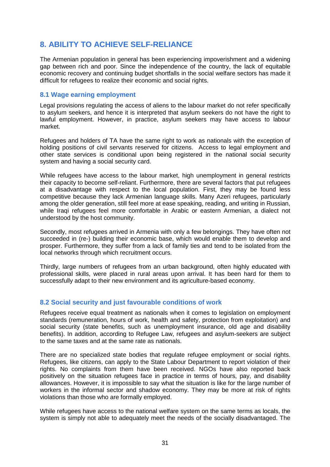# **8. ABILITY TO ACHIEVE SELF-RELIANCE**

The Armenian population in general has been experiencing impoverishment and a widening gap between rich and poor. Since the independence of the country, the lack of equitable economic recovery and continuing budget shortfalls in the social welfare sectors has made it difficult for refugees to realize their economic and social rights.

### **8.1 Wage earning employment**

Legal provisions regulating the access of aliens to the labour market do not refer specifically to asylum seekers, and hence it is interpreted that asylum seekers do not have the right to lawful employment. However, in practice, asylum seekers may have access to labour market.

Refugees and holders of TA have the same right to work as nationals with the exception of holding positions of civil servants reserved for citizens. Access to legal employment and other state services is conditional upon being registered in the national social security system and having a social security card.

While refugees have access to the labour market, high unemployment in general restricts their capacity to become self-reliant. Furthermore, there are several factors that put refugees at a disadvantage with respect to the local population. First, they may be found less competitive because they lack Armenian language skills. Many Azeri refugees, particularly among the older generation, still feel more at ease speaking, reading, and writing in Russian, while Iraqi refugees feel more comfortable in Arabic or eastern Armenian, a dialect not understood by the host community.

Secondly, most refugees arrived in Armenia with only a few belongings. They have often not succeeded in (re-) building their economic base, which would enable them to develop and prosper. Furthermore, they suffer from a lack of family ties and tend to be isolated from the local networks through which recruitment occurs.

Thirdly, large numbers of refugees from an urban background, often highly educated with professional skills, were placed in rural areas upon arrival. It has been hard for them to successfully adapt to their new environment and its agriculture-based economy.

# **8.2 Social security and just favourable conditions of work**

Refugees receive equal treatment as nationals when it comes to legislation on employment standards (remuneration, hours of work, health and safety, protection from exploitation) and social security (state benefits, such as unemployment insurance, old age and disability benefits). In addition, according to Refugee Law, refugees and asylum-seekers are subject to the same taxes and at the same rate as nationals.

There are no specialized state bodies that regulate refugee employment or social rights. Refugees, like citizens, can apply to the State Labour Department to report violation of their rights. No complaints from them have been received. NGOs have also reported back positively on the situation refugees face in practice in terms of hours, pay, and disability allowances. However, it is impossible to say what the situation is like for the large number of workers in the informal sector and shadow economy. They may be more at risk of rights violations than those who are formally employed.

While refugees have access to the national welfare system on the same terms as locals, the system is simply not able to adequately meet the needs of the socially disadvantaged. The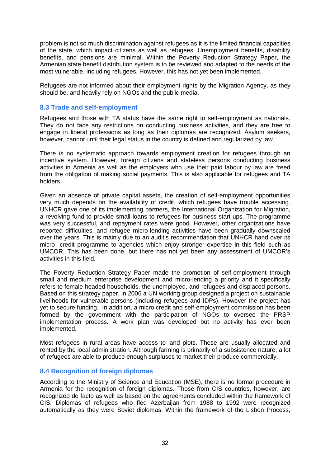problem is not so much discrimination against refugees as it is the limited financial capacities of the state, which impact citizens as well as refugees. Unemployment benefits, disability benefits, and pensions are minimal. Within the Poverty Reduction Strategy Paper, the Armenian state benefit distribution system is to be reviewed and adapted to the needs of the most vulnerable, including refugees. However, this has not yet been implemented.

Refugees are not informed about their employment rights by the Migration Agency, as they should be, and heavily rely on NGOs and the public media.

#### **8.3 Trade and self-employment**

Refugees and those with TA status have the same right to self-employment as nationals. They do not face any restrictions on conducting business activities, and they are free to engage in liberal professions as long as their diplomas are recognized. Asylum seekers, however, cannot until their legal status in the country is defined and regularized by law.

There is no systematic approach towards employment creation for refugees through an incentive system. However, foreign citizens and stateless persons conducting business activities in Armenia as well as the employers who use their paid labour by law are freed from the obligation of making social payments. This is also applicable for refugees and TA holders.

Given an absence of private capital assets, the creation of self-employment opportunities very much depends on the availability of credit, which refugees have trouble accessing. UNHCR gave one of its implementing partners, the International Organization for Migration, a revolving fund to provide small loans to refugees for business start-ups. The programme was very successful, and repayment rates were good. However, other organizations have reported difficulties, and refugee micro-lending activities have been gradually downscaled over the years. This is mainly due to an audit's recommendation that UNHCR hand over its micro- credit programme to agencies which enjoy stronger expertise in this field such as UMCOR. This has been done, but there has not yet been any assessment of UMCOR's activities in this field.

The Poverty Reduction Strategy Paper made the promotion of self-employment through small and medium enterprise development and micro-lending a priority and it specifically refers to female-headed households, the unemployed, and refugees and displaced persons. Based on this strategy paper, in 2006 a UN working group designed a project on sustainable livelihoods for vulnerable persons (including refugees and IDPs). However the project has yet to secure funding. In addition, a micro credit and self-employment commission has been formed by the government with the participation of NGOs to oversee the PRSP implementation process. A work plan was developed but no activity has ever been implemented.

Most refugees in rural areas have access to land plots. These are usually allocated and rented by the local administration. Although farming is primarily of a subsistence nature, a lot of refugees are able to produce enough surpluses to market their produce commercially.

# **8.4 Recognition of foreign diplomas**

According to the Ministry of Science and Education (MSE), there is no formal procedure in Armenia for the recognition of foreign diplomas. Those from CIS countries, however, are recognized de facto as well as based on the agreements concluded within the framework of CIS. Diplomas of refugees who fled Azerbaijan from 1988 to 1992 were recognized automatically as they were Soviet diplomas. Within the framework of the Lisbon Process,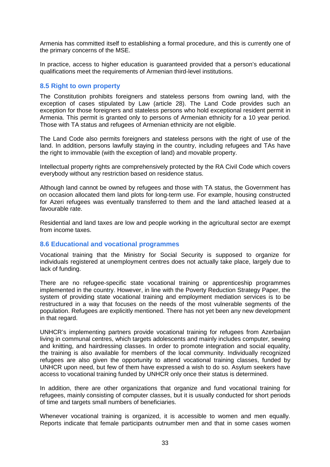Armenia has committed itself to establishing a formal procedure, and this is currently one of the primary concerns of the MSE.

In practice, access to higher education is guaranteed provided that a person's educational qualifications meet the requirements of Armenian third-level institutions.

#### **8.5 Right to own property**

The Constitution prohibits foreigners and stateless persons from owning land, with the exception of cases stipulated by Law (article 28). The Land Code provides such an exception for those foreigners and stateless persons who hold exceptional resident permit in Armenia. This permit is granted only to persons of Armenian ethnicity for a 10 year period. Those with TA status and refugees of Armenian ethnicity are not eligible.

The Land Code also permits foreigners and stateless persons with the right of use of the land. In addition, persons lawfully staying in the country, including refugees and TAs have the right to immovable (with the exception of land) and movable property.

Intellectual property rights are comprehensively protected by the RA Civil Code which covers everybody without any restriction based on residence status.

Although land cannot be owned by refugees and those with TA status, the Government has on occasion allocated them land plots for long-term use. For example, housing constructed for Azeri refugees was eventually transferred to them and the land attached leased at a favourable rate.

Residential and land taxes are low and people working in the agricultural sector are exempt from income taxes.

#### **8.6 Educational and vocational programmes**

Vocational training that the Ministry for Social Security is supposed to organize for individuals registered at unemployment centres does not actually take place, largely due to lack of funding.

There are no refugee-specific state vocational training or apprenticeship programmes implemented in the country. However, in line with the Poverty Reduction Strategy Paper, the system of providing state vocational training and employment mediation services is to be restructured in a way that focuses on the needs of the most vulnerable segments of the population. Refugees are explicitly mentioned. There has not yet been any new development in that regard.

UNHCR's implementing partners provide vocational training for refugees from Azerbaijan living in communal centres, which targets adolescents and mainly includes computer, sewing and knitting, and hairdressing classes. In order to promote integration and social equality, the training is also available for members of the local community. Individually recognized refugees are also given the opportunity to attend vocational training classes, funded by UNHCR upon need, but few of them have expressed a wish to do so. Asylum seekers have access to vocational training funded by UNHCR only once their status is determined.

In addition, there are other organizations that organize and fund vocational training for refugees, mainly consisting of computer classes, but it is usually conducted for short periods of time and targets small numbers of beneficiaries.

Whenever vocational training is organized, it is accessible to women and men equally. Reports indicate that female participants outnumber men and that in some cases women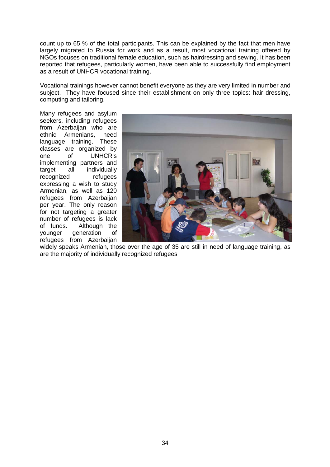count up to 65 % of the total participants. This can be explained by the fact that men have largely migrated to Russia for work and as a result, most vocational training offered by NGOs focuses on traditional female education, such as hairdressing and sewing. It has been reported that refugees, particularly women, have been able to successfully find employment as a result of UNHCR vocational training.

Vocational trainings however cannot benefit everyone as they are very limited in number and subject. They have focused since their establishment on only three topics: hair dressing, computing and tailoring.

Many refugees and asylum seekers, including refugees from Azerbaijan who are ethnic Armenians, need language training. These classes are organized by one of UNHCR's implementing partners and target all individually recognized refugees expressing a wish to study Armenian, as well as 120 refugees from Azerbaijan per year. The only reason for not targeting a greater number of refugees is lack of funds. Although the younger generation of refugees from Azerbaijan



widely speaks Armenian, those over the age of 35 are still in need of language training, as are the majority of individually recognized refugees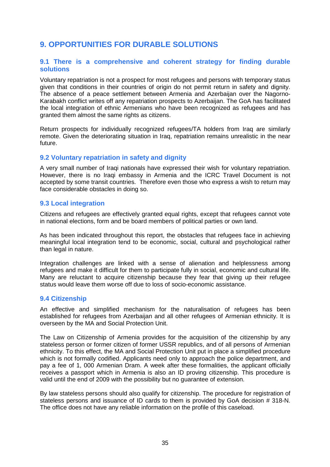# **9. OPPORTUNITIES FOR DURABLE SOLUTIONS**

#### **9.1 There is a comprehensive and coherent strategy for finding durable solutions**

Voluntary repatriation is not a prospect for most refugees and persons with temporary status given that conditions in their countries of origin do not permit return in safety and dignity. The absence of a peace settlement between Armenia and Azerbaijan over the Nagorno-Karabakh conflict writes off any repatriation prospects to Azerbaijan. The GoA has facilitated the local integration of ethnic Armenians who have been recognized as refugees and has granted them almost the same rights as citizens.

Return prospects for individually recognized refugees/TA holders from Iraq are similarly remote. Given the deteriorating situation in Iraq, repatriation remains unrealistic in the near future.

### **9.2 Voluntary repatriation in safety and dignity**

A very small number of Iraqi nationals have expressed their wish for voluntary repatriation. However, there is no Iraqi embassy in Armenia and the ICRC Travel Document is not accepted by some transit countries. Therefore even those who express a wish to return may face considerable obstacles in doing so.

### **9.3 Local integration**

Citizens and refugees are effectively granted equal rights, except that refugees cannot vote in national elections, form and be board members of political parties or own land.

As has been indicated throughout this report, the obstacles that refugees face in achieving meaningful local integration tend to be economic, social, cultural and psychological rather than legal in nature.

Integration challenges are linked with a sense of alienation and helplessness among refugees and make it difficult for them to participate fully in social, economic and cultural life. Many are reluctant to acquire citizenship because they fear that giving up their refugee status would leave them worse off due to loss of socio-economic assistance.

#### **9.4 Citizenship**

An effective and simplified mechanism for the naturalisation of refugees has been established for refugees from Azerbaijan and all other refugees of Armenian ethnicity. It is overseen by the MA and Social Protection Unit.

The Law on Citizenship of Armenia provides for the acquisition of the citizenship by any stateless person or former citizen of former USSR republics, and of all persons of Armenian ethnicity. To this effect, the MA and Social Protection Unit put in place a simplified procedure which is not formally codified. Applicants need only to approach the police department, and pay a fee of 1, 000 Armenian Dram. A week after these formalities, the applicant officially receives a passport which in Armenia is also an ID proving citizenship. This procedure is valid until the end of 2009 with the possibility but no guarantee of extension.

By law stateless persons should also qualify for citizenship. The procedure for registration of stateless persons and issuance of ID cards to them is provided by GoA decision # 318-N. The office does not have any reliable information on the profile of this caseload.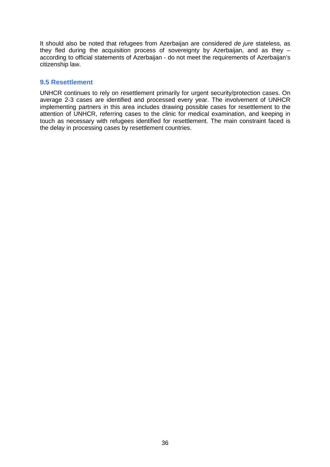It should also be noted that refugees from Azerbaijan are considered *de jure* stateless, as they fled during the acquisition process of sovereignty by Azerbaijan, and as they – according to official statements of Azerbaijan - do not meet the requirements of Azerbaijan's citizenship law.

#### **9.5 Resettlement**

UNHCR continues to rely on resettlement primarily for urgent security/protection cases. On average 2-3 cases are identified and processed every year. The involvement of UNHCR implementing partners in this area includes drawing possible cases for resettlement to the attention of UNHCR, referring cases to the clinic for medical examination, and keeping in touch as necessary with refugees identified for resettlement. The main constraint faced is the delay in processing cases by resettlement countries.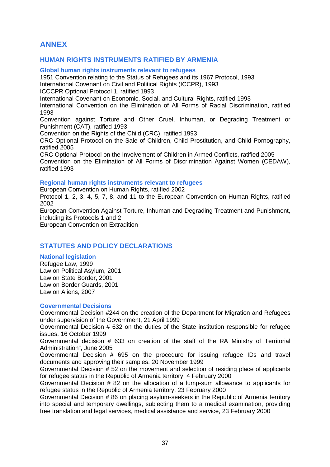# **ANNEX**

# **HUMAN RIGHTS INSTRUMENTS RATIFIED BY ARMENIA**

**Global human rights instruments relevant to refugees** 

1951 Convention relating to the Status of Refugees and its 1967 Protocol, 1993

International Covenant on Civil and Political Rights (ICCPR), 1993

ICCCPR Optional Protocol 1, ratified 1993

International Covenant on Economic, Social, and Cultural Rights, ratified 1993

International Convention on the Elimination of All Forms of Racial Discrimination, ratified 1993

Convention against Torture and Other Cruel, Inhuman, or Degrading Treatment or Punishment (CAT), ratified 1993

Convention on the Rights of the Child (CRC), ratified 1993

CRC Optional Protocol on the Sale of Children, Child Prostitution, and Child Pornography, ratified 2005

CRC Optional Protocol on the Involvement of Children in Armed Conflicts, ratified 2005 Convention on the Elimination of All Forms of Discrimination Against Women (CEDAW), ratified 1993

#### **Regional human rights instruments relevant to refugees**

European Convention on Human Rights, ratified 2002

Protocol 1, 2, 3, 4, 5, 7, 8, and 11 to the European Convention on Human Rights, ratified 2002

European Convention Against Torture, Inhuman and Degrading Treatment and Punishment, including its Protocols 1 and 2

European Convention on Extradition

# **STATUTES AND POLICY DECLARATIONS**

#### **National legislation**

Refugee Law, 1999 Law on Political Asylum, 2001 Law on State Border, 2001 Law on Border Guards, 2001 Law on Aliens, 2007

#### **Governmental Decisions**

Governmental Decision #244 on the creation of the Department for Migration and Refugees under supervision of the Government, 21 April 1999

Governmental Decision # 632 on the duties of the State institution responsible for refugee issues, 16 October 1999

Governmental decision # 633 on creation of the staff of the RA Ministry of Territorial Administration", June 2005

Governmental Decision # 695 on the procedure for issuing refugee IDs and travel documents and approving their samples, 20 November 1999

Governmental Decision # 52 on the movement and selection of residing place of applicants for refugee status in the Republic of Armenia territory, 4 February 2000

Governmental Decision # 82 on the allocation of a lump-sum allowance to applicants for refugee status in the Republic of Armenia territory, 23 February 2000

Governmental Decision # 86 on placing asylum-seekers in the Republic of Armenia territory into special and temporary dwellings, subjecting them to a medical examination, providing free translation and legal services, medical assistance and service, 23 February 2000